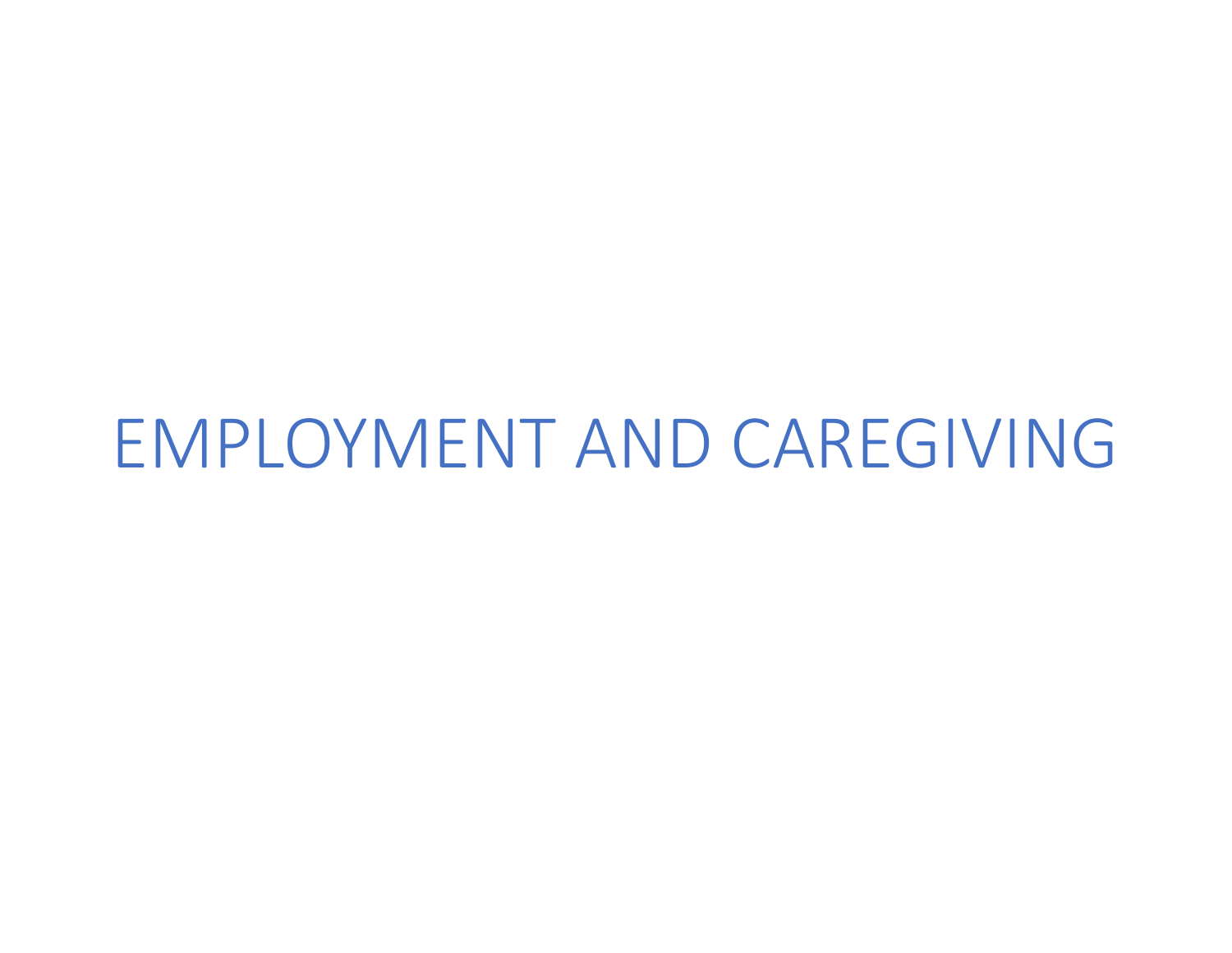# EMPLOYMENT AND CAREGIVING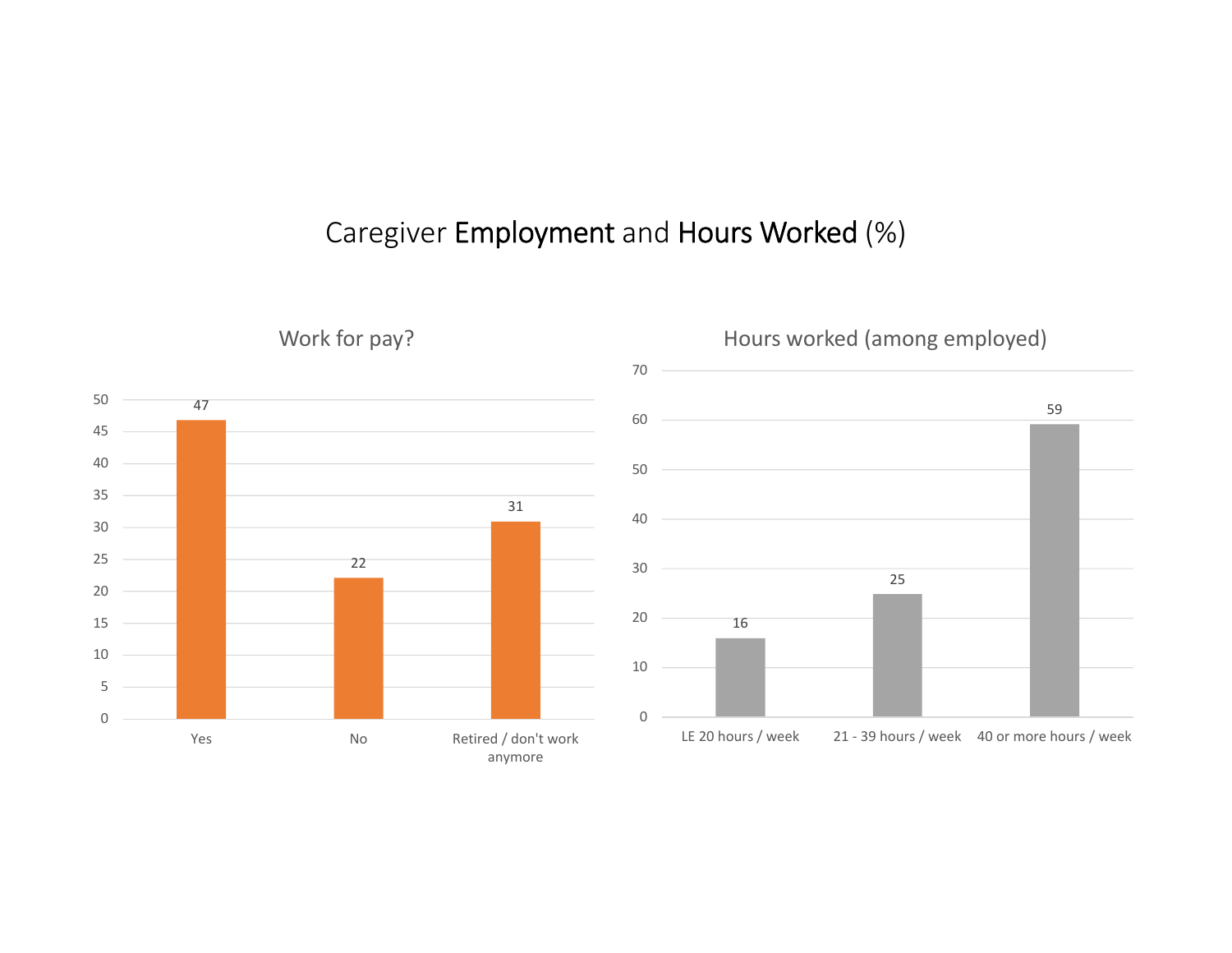#### Caregiver Employment and Hours Worked (%)

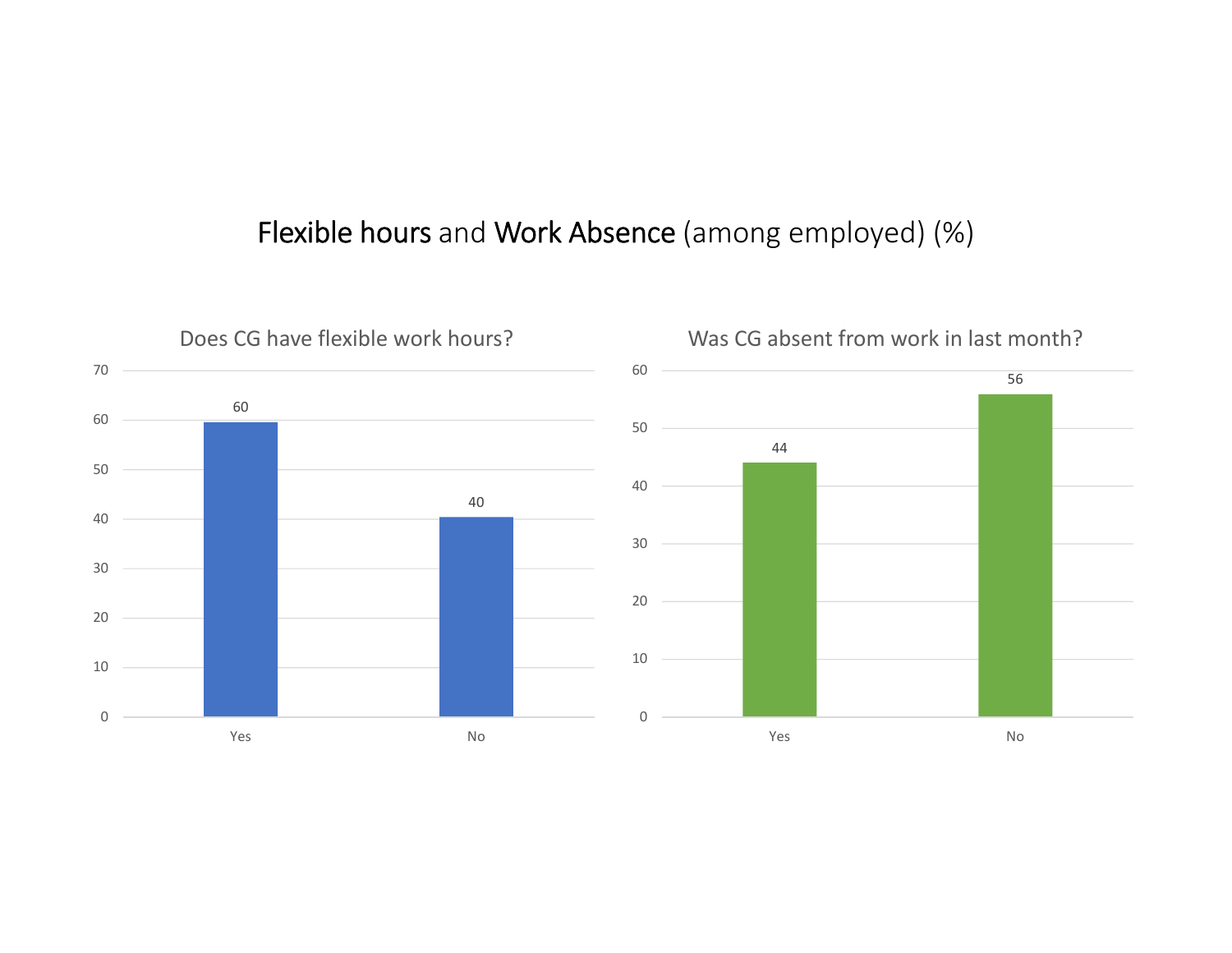### Flexible hours and Work Absence (among employed) (%)

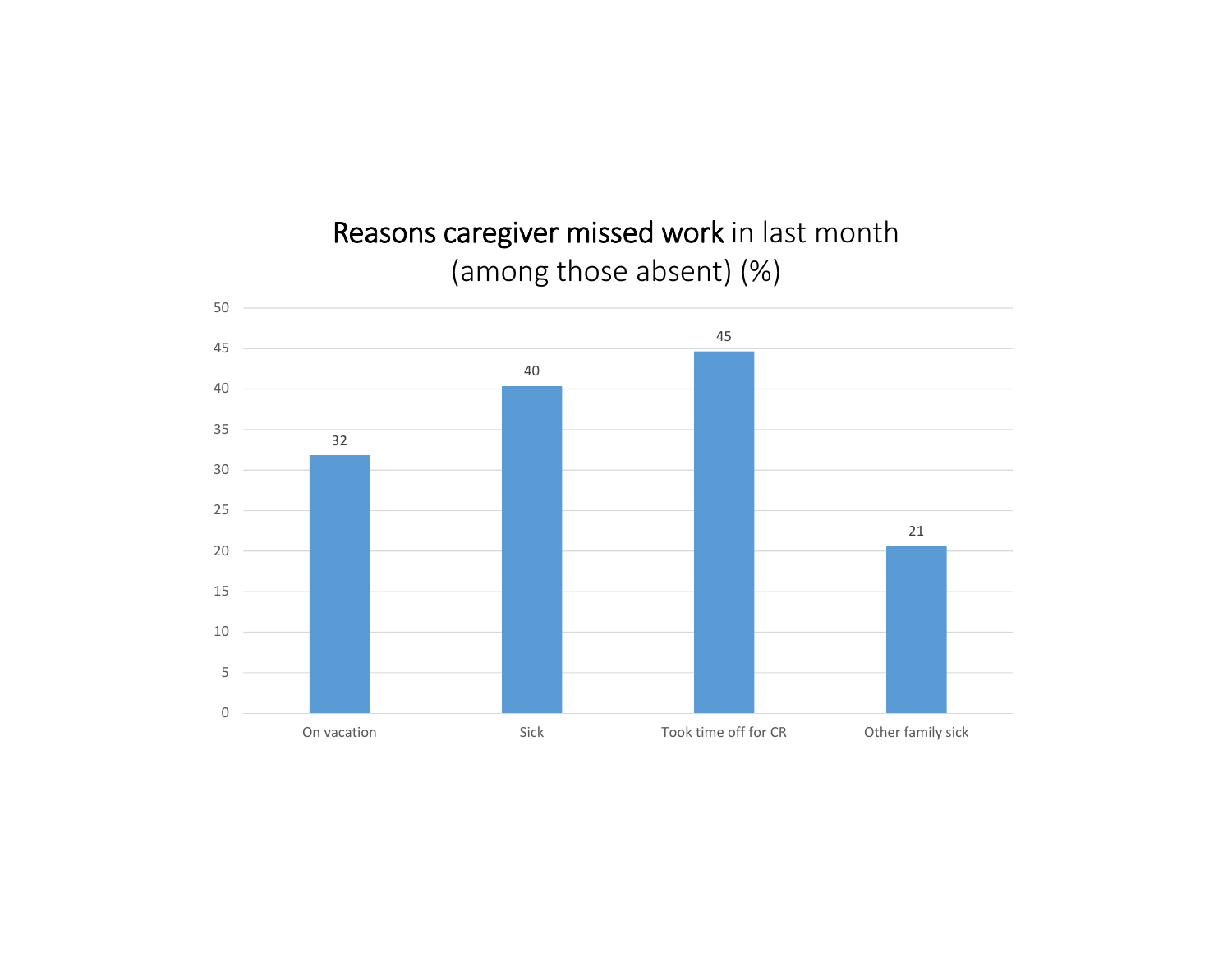Reasons caregiver missed work in last month (among those absent) (%)

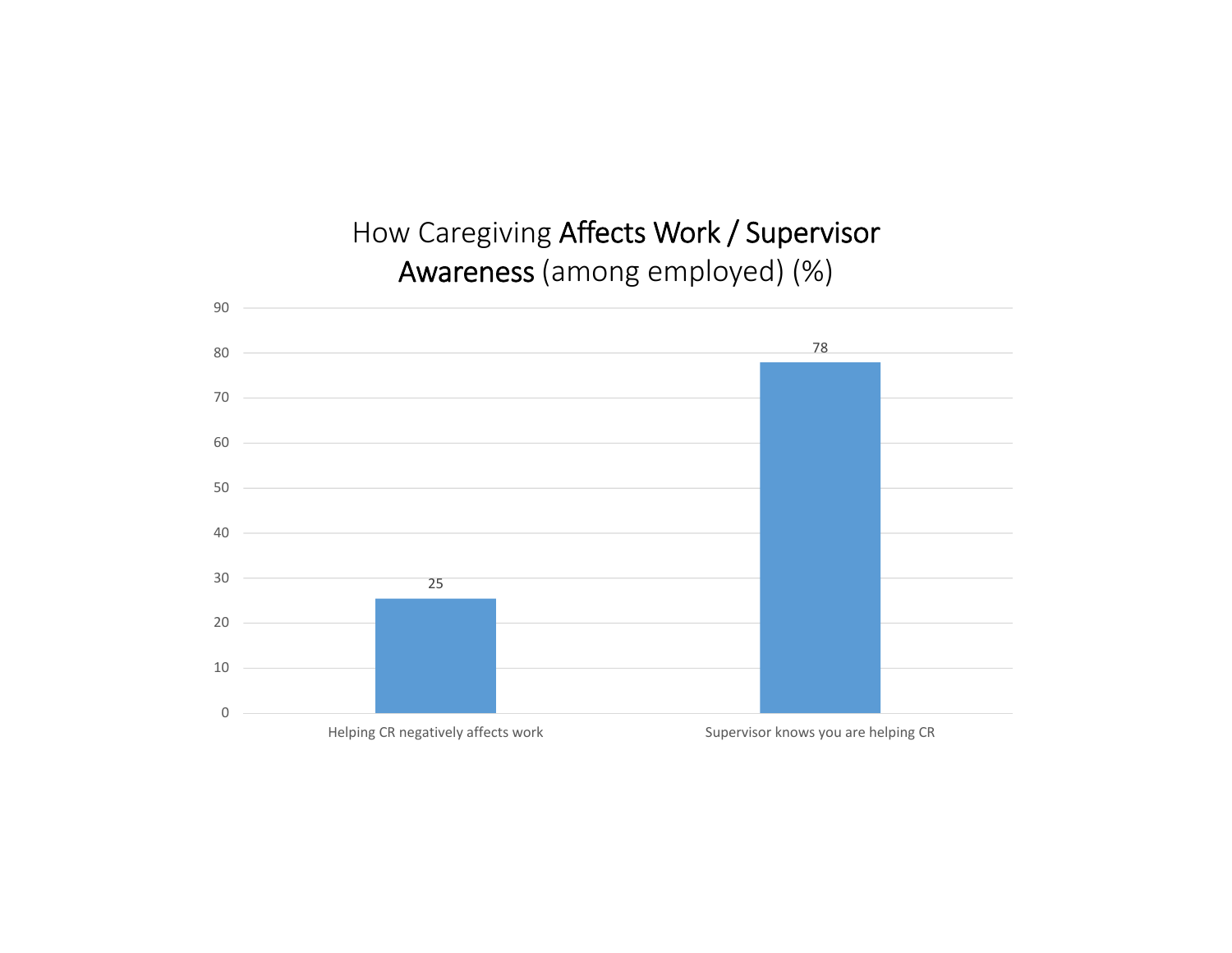## How Caregiving Affects Work / Supervisor Awareness (among employed) (%)

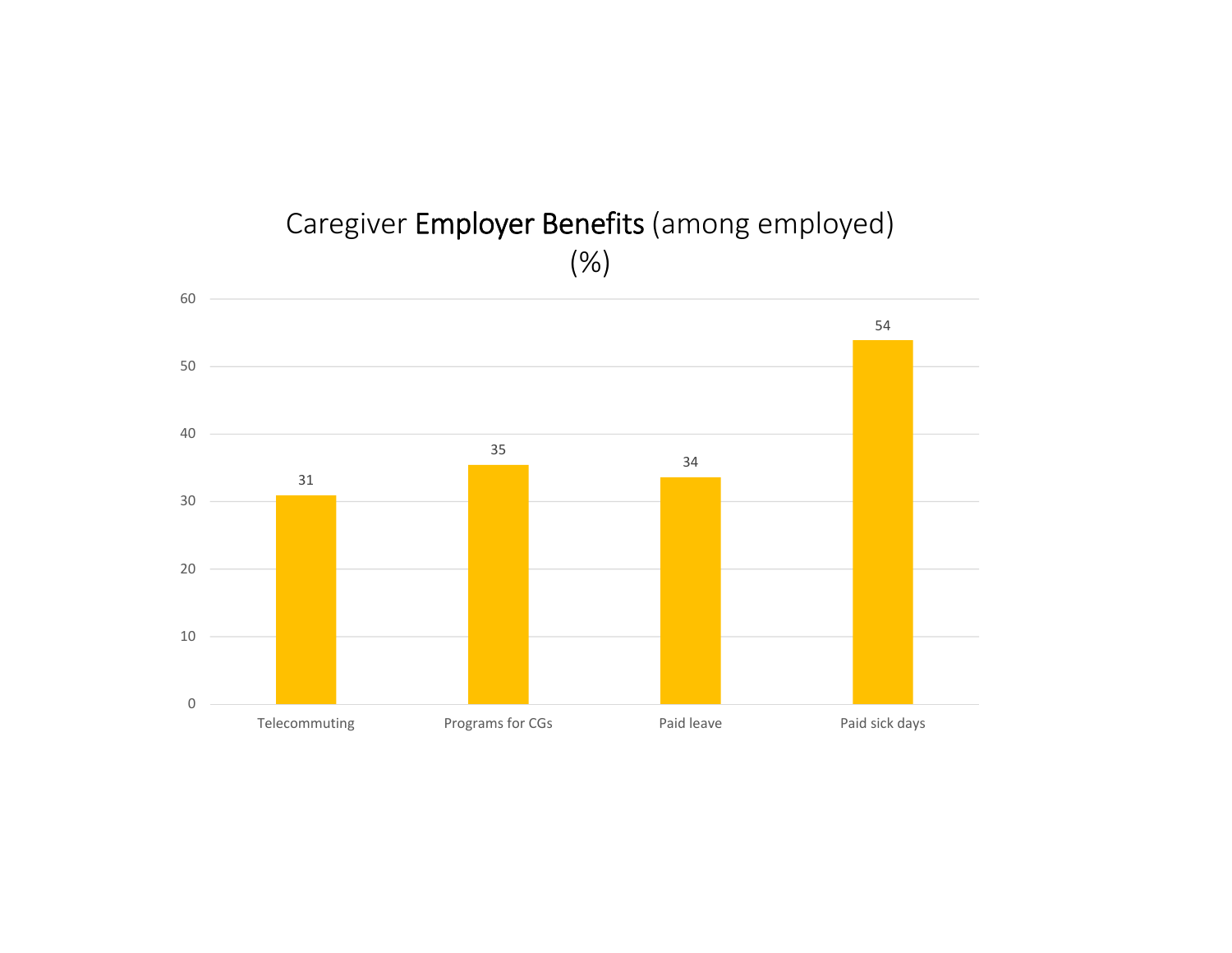